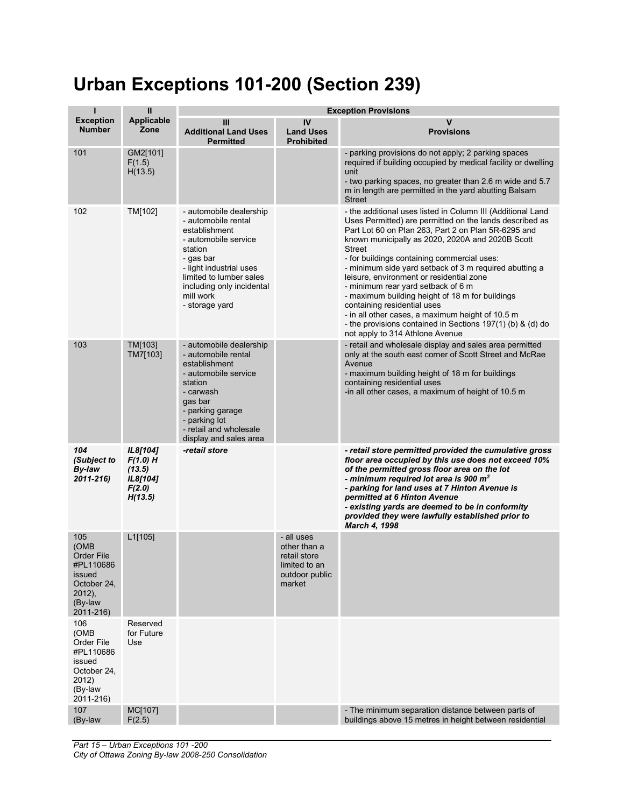## **Urban Exceptions 101-200 (Section 239)**

| ī                                                                                                    | $\sf II$                                                          | <b>Exception Provisions</b>                                                                                                                                                                                                       |                                                                                         |                                                                                                                                                                                                                                                                                                                                                                                                                                                                                                                                                                                                                                                                                      |
|------------------------------------------------------------------------------------------------------|-------------------------------------------------------------------|-----------------------------------------------------------------------------------------------------------------------------------------------------------------------------------------------------------------------------------|-----------------------------------------------------------------------------------------|--------------------------------------------------------------------------------------------------------------------------------------------------------------------------------------------------------------------------------------------------------------------------------------------------------------------------------------------------------------------------------------------------------------------------------------------------------------------------------------------------------------------------------------------------------------------------------------------------------------------------------------------------------------------------------------|
| <b>Exception</b><br><b>Number</b>                                                                    | Applicable<br>Zone                                                | Ш<br><b>Additional Land Uses</b><br><b>Permitted</b>                                                                                                                                                                              | IV<br><b>Land Uses</b><br><b>Prohibited</b>                                             | v<br><b>Provisions</b>                                                                                                                                                                                                                                                                                                                                                                                                                                                                                                                                                                                                                                                               |
| 101                                                                                                  | GM2[101]<br>F(1.5)<br>H(13.5)                                     |                                                                                                                                                                                                                                   |                                                                                         | - parking provisions do not apply; 2 parking spaces<br>required if building occupied by medical facility or dwelling<br>unit<br>- two parking spaces, no greater than 2.6 m wide and 5.7<br>m in length are permitted in the yard abutting Balsam<br><b>Street</b>                                                                                                                                                                                                                                                                                                                                                                                                                   |
| 102                                                                                                  | TM[102]                                                           | - automobile dealership<br>- automobile rental<br>establishment<br>- automobile service<br>station<br>- gas bar<br>- light industrial uses<br>limited to lumber sales<br>including only incidental<br>mill work<br>- storage yard |                                                                                         | - the additional uses listed in Column III (Additional Land<br>Uses Permitted) are permitted on the lands described as<br>Part Lot 60 on Plan 263, Part 2 on Plan 5R-6295 and<br>known municipally as 2020, 2020A and 2020B Scott<br><b>Street</b><br>- for buildings containing commercial uses:<br>- minimum side yard setback of 3 m required abutting a<br>leisure, environment or residential zone<br>- minimum rear yard setback of 6 m<br>- maximum building height of 18 m for buildings<br>containing residential uses<br>- in all other cases, a maximum height of 10.5 m<br>- the provisions contained in Sections 197(1) (b) & (d) do<br>not apply to 314 Athlone Avenue |
| 103                                                                                                  | <b>TM[103]</b><br>TM7[103]                                        | - automobile dealership<br>- automobile rental<br>establishment<br>- automobile service<br>station<br>- carwash<br>gas bar<br>- parking garage<br>- parking lot<br>- retail and wholesale<br>display and sales area               |                                                                                         | - retail and wholesale display and sales area permitted<br>only at the south east corner of Scott Street and McRae<br>Avenue<br>- maximum building height of 18 m for buildings<br>containing residential uses<br>-in all other cases, a maximum of height of 10.5 m                                                                                                                                                                                                                                                                                                                                                                                                                 |
| 104<br>(Subject to<br>By-law<br>$2011 - 216$                                                         | IL8[104]<br>$F(1.0)$ H<br>(13.5)<br>IL8[104]<br>F(2.0)<br>H(13.5) | -retail store                                                                                                                                                                                                                     |                                                                                         | - retail store permitted provided the cumulative gross<br>floor area occupied by this use does not exceed 10%<br>of the permitted gross floor area on the lot<br>- minimum required lot area is 900 m <sup>2</sup><br>- parking for land uses at 7 Hinton Avenue is<br>permitted at 6 Hinton Avenue<br>- existing yards are deemed to be in conformity<br>provided they were lawfully established prior to<br><b>March 4, 1998</b>                                                                                                                                                                                                                                                   |
| 105<br>(OMB<br>Order File<br>#PL110686<br>issued<br>October 24,<br>$2012$ ),<br>(By-law<br>2011-216) | L1[105]                                                           |                                                                                                                                                                                                                                   | - all uses<br>other than a<br>retail store<br>limited to an<br>outdoor public<br>market |                                                                                                                                                                                                                                                                                                                                                                                                                                                                                                                                                                                                                                                                                      |
| 106<br>(OMB<br>Order File<br>#PL110686<br>issued<br>October 24,<br>2012)<br>(By-law<br>2011-216)     | Reserved<br>for Future<br>Use                                     |                                                                                                                                                                                                                                   |                                                                                         |                                                                                                                                                                                                                                                                                                                                                                                                                                                                                                                                                                                                                                                                                      |
| 107<br>(By-law                                                                                       | MC[107]<br>F(2.5)                                                 |                                                                                                                                                                                                                                   |                                                                                         | - The minimum separation distance between parts of<br>buildings above 15 metres in height between residential                                                                                                                                                                                                                                                                                                                                                                                                                                                                                                                                                                        |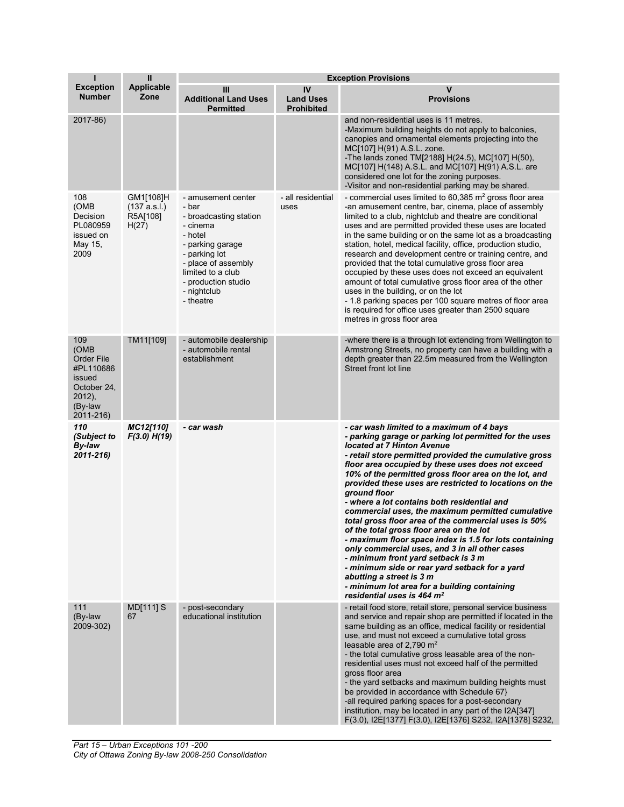| п                                                                                                        | $\mathbf{I}$                                   | <b>Exception Provisions</b>                                                                                                                                                                                      |                                             |                                                                                                                                                                                                                                                                                                                                                                                                                                                                                                                                                                                                                                                                                                                                                                                                                                                                                                              |
|----------------------------------------------------------------------------------------------------------|------------------------------------------------|------------------------------------------------------------------------------------------------------------------------------------------------------------------------------------------------------------------|---------------------------------------------|--------------------------------------------------------------------------------------------------------------------------------------------------------------------------------------------------------------------------------------------------------------------------------------------------------------------------------------------------------------------------------------------------------------------------------------------------------------------------------------------------------------------------------------------------------------------------------------------------------------------------------------------------------------------------------------------------------------------------------------------------------------------------------------------------------------------------------------------------------------------------------------------------------------|
| <b>Exception</b><br><b>Number</b>                                                                        | <b>Applicable</b><br>Zone                      | Ш<br><b>Additional Land Uses</b><br><b>Permitted</b>                                                                                                                                                             | IV<br><b>Land Uses</b><br><b>Prohibited</b> | v<br><b>Provisions</b>                                                                                                                                                                                                                                                                                                                                                                                                                                                                                                                                                                                                                                                                                                                                                                                                                                                                                       |
| 2017-86)                                                                                                 |                                                |                                                                                                                                                                                                                  |                                             | and non-residential uses is 11 metres.<br>-Maximum building heights do not apply to balconies,<br>canopies and ornamental elements projecting into the<br>MC[107] H(91) A.S.L. zone.<br>-The lands zoned TM[2188] H(24.5), MC[107] H(50),<br>MC[107] H(148) A.S.L. and MC[107] H(91) A.S.L. are<br>considered one lot for the zoning purposes.<br>-Visitor and non-residential parking may be shared.                                                                                                                                                                                                                                                                                                                                                                                                                                                                                                        |
| 108<br>(OMB<br>Decision<br>PL080959<br>issued on<br>May 15,<br>2009                                      | GM1[108]H<br>(137 a.s.l.)<br>R5A[108]<br>H(27) | - amusement center<br>- bar<br>- broadcasting station<br>- cinema<br>- hotel<br>- parking garage<br>- parking lot<br>- place of assembly<br>limited to a club<br>- production studio<br>- nightclub<br>- theatre | - all residential<br>uses                   | - commercial uses limited to 60,385 $m2$ gross floor area<br>-an amusement centre, bar, cinema, place of assembly<br>limited to a club, nightclub and theatre are conditional<br>uses and are permitted provided these uses are located<br>in the same building or on the same lot as a broadcasting<br>station, hotel, medical facility, office, production studio,<br>research and development centre or training centre, and<br>provided that the total cumulative gross floor area<br>occupied by these uses does not exceed an equivalent<br>amount of total cumulative gross floor area of the other<br>uses in the building, or on the lot<br>- 1.8 parking spaces per 100 square metres of floor area<br>is required for office uses greater than 2500 square<br>metres in gross floor area                                                                                                          |
| 109<br>(OMB<br><b>Order File</b><br>#PL110686<br>issued<br>October 24,<br>2012),<br>(By-law<br>2011-216) | TM11[109]                                      | - automobile dealership<br>- automobile rental<br>establishment                                                                                                                                                  |                                             | -where there is a through lot extending from Wellington to<br>Armstrong Streets, no property can have a building with a<br>depth greater than 22.5m measured from the Wellington<br>Street front lot line                                                                                                                                                                                                                                                                                                                                                                                                                                                                                                                                                                                                                                                                                                    |
| 110<br>(Subject to<br>By-law<br>$2011 - 216$                                                             | MC12[110]<br>F(3.0) H(19)                      | - car wash                                                                                                                                                                                                       |                                             | - car wash limited to a maximum of 4 bays<br>- parking garage or parking lot permitted for the uses<br>located at 7 Hinton Avenue<br>- retail store permitted provided the cumulative gross<br>floor area occupied by these uses does not exceed<br>10% of the permitted gross floor area on the lot, and<br>provided these uses are restricted to locations on the<br>ground floor<br>- where a lot contains both residential and<br>commercial uses, the maximum permitted cumulative<br>total gross floor area of the commercial uses is 50%<br>of the total gross floor area on the lot<br>- maximum floor space index is 1.5 for lots containing<br>only commercial uses, and 3 in all other cases<br>- minimum front yard setback is 3 m<br>- minimum side or rear yard setback for a yard<br>abutting a street is 3 m<br>- minimum lot area for a building containing<br>residential uses is 464 $m2$ |
| 111<br>(By-law<br>2009-302)                                                                              | MD[111] S<br>67                                | - post-secondary<br>educational institution                                                                                                                                                                      |                                             | - retail food store, retail store, personal service business<br>and service and repair shop are permitted if located in the<br>same building as an office, medical facility or residential<br>use, and must not exceed a cumulative total gross<br>leasable area of 2,790 $m2$<br>- the total cumulative gross leasable area of the non-<br>residential uses must not exceed half of the permitted<br>gross floor area<br>- the yard setbacks and maximum building heights must<br>be provided in accordance with Schedule 67}<br>-all required parking spaces for a post-secondary<br>institution, may be located in any part of the I2A[347]<br>F(3.0), I2E[1377] F(3.0), I2E[1376] S232, I2A[1378] S232,                                                                                                                                                                                                  |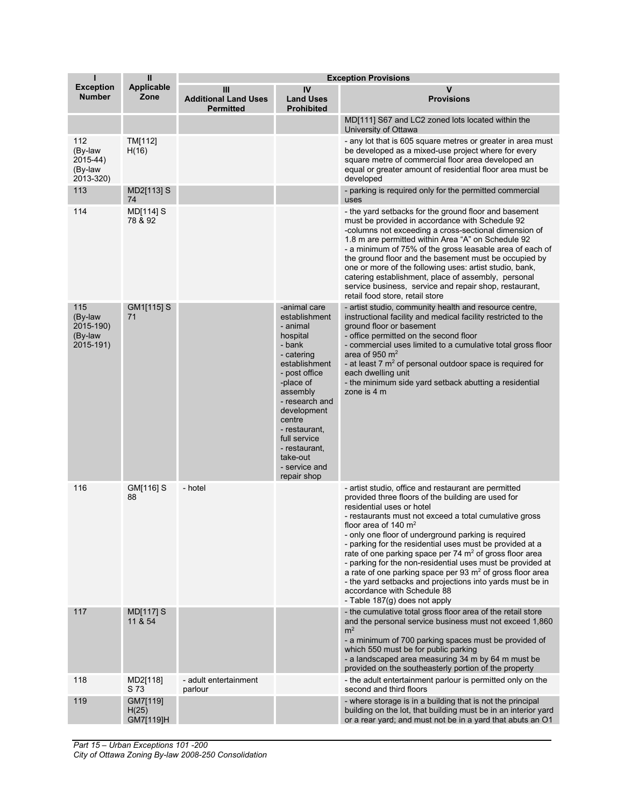| ı                                                   | $\mathbf{II}$                  | <b>Exception Provisions</b>                          |                                                                                                                                                                                                                                                                                   |                                                                                                                                                                                                                                                                                                                                                                                                                                                                                                                                                                                                                                                                                |
|-----------------------------------------------------|--------------------------------|------------------------------------------------------|-----------------------------------------------------------------------------------------------------------------------------------------------------------------------------------------------------------------------------------------------------------------------------------|--------------------------------------------------------------------------------------------------------------------------------------------------------------------------------------------------------------------------------------------------------------------------------------------------------------------------------------------------------------------------------------------------------------------------------------------------------------------------------------------------------------------------------------------------------------------------------------------------------------------------------------------------------------------------------|
| <b>Exception</b><br><b>Number</b>                   | <b>Applicable</b><br>Zone      | Ш<br><b>Additional Land Uses</b><br><b>Permitted</b> | IV<br><b>Land Uses</b><br><b>Prohibited</b>                                                                                                                                                                                                                                       | v<br><b>Provisions</b>                                                                                                                                                                                                                                                                                                                                                                                                                                                                                                                                                                                                                                                         |
|                                                     |                                |                                                      |                                                                                                                                                                                                                                                                                   | MD[111] S67 and LC2 zoned lots located within the<br>University of Ottawa                                                                                                                                                                                                                                                                                                                                                                                                                                                                                                                                                                                                      |
| 112<br>(By-law<br>2015-44)<br>(By-law<br>2013-320)  | TM[112]<br>H(16)               |                                                      |                                                                                                                                                                                                                                                                                   | - any lot that is 605 square metres or greater in area must<br>be developed as a mixed-use project where for every<br>square metre of commercial floor area developed an<br>equal or greater amount of residential floor area must be<br>developed                                                                                                                                                                                                                                                                                                                                                                                                                             |
| 113                                                 | MD2[113] S<br>74               |                                                      |                                                                                                                                                                                                                                                                                   | - parking is required only for the permitted commercial<br>uses                                                                                                                                                                                                                                                                                                                                                                                                                                                                                                                                                                                                                |
| 114                                                 | MD[114] S<br>78 & 92           |                                                      |                                                                                                                                                                                                                                                                                   | - the yard setbacks for the ground floor and basement<br>must be provided in accordance with Schedule 92<br>-columns not exceeding a cross-sectional dimension of<br>1.8 m are permitted within Area "A" on Schedule 92<br>- a minimum of 75% of the gross leasable area of each of<br>the ground floor and the basement must be occupied by<br>one or more of the following uses: artist studio, bank,<br>catering establishment, place of assembly, personal<br>service business, service and repair shop, restaurant,<br>retail food store, retail store                                                                                                                    |
| 115<br>(By-law<br>2015-190)<br>(By-law<br>2015-191) | GM1[115] S<br>71               |                                                      | -animal care<br>establishment<br>- animal<br>hospital<br>- bank<br>- catering<br>establishment<br>- post office<br>-place of<br>assembly<br>- research and<br>development<br>centre<br>- restaurant,<br>full service<br>- restaurant,<br>take-out<br>- service and<br>repair shop | - artist studio, community health and resource centre,<br>instructional facility and medical facility restricted to the<br>ground floor or basement<br>- office permitted on the second floor<br>- commercial uses limited to a cumulative total gross floor<br>area of 950 $m2$<br>- at least 7 m <sup>2</sup> of personal outdoor space is required for<br>each dwelling unit<br>- the minimum side yard setback abutting a residential<br>zone is 4 m                                                                                                                                                                                                                       |
| 116                                                 | GM[116] S<br>88                | - hotel                                              |                                                                                                                                                                                                                                                                                   | - artist studio, office and restaurant are permitted<br>provided three floors of the building are used for<br>residential uses or hotel<br>- restaurants must not exceed a total cumulative gross<br>floor area of 140 $m2$<br>- only one floor of underground parking is required<br>- parking for the residential uses must be provided at a<br>rate of one parking space per 74 $m2$ of gross floor area<br>- parking for the non-residential uses must be provided at<br>a rate of one parking space per $93 \text{ m}^2$ of gross floor area<br>- the yard setbacks and projections into yards must be in<br>accordance with Schedule 88<br>- Table 187(g) does not apply |
| 117                                                 | MD[117] S<br>11 & 54           |                                                      |                                                                                                                                                                                                                                                                                   | - the cumulative total gross floor area of the retail store<br>and the personal service business must not exceed 1,860<br>m <sup>2</sup><br>- a minimum of 700 parking spaces must be provided of<br>which 550 must be for public parking<br>- a landscaped area measuring 34 m by 64 m must be<br>provided on the southeasterly portion of the property                                                                                                                                                                                                                                                                                                                       |
| 118                                                 | MD2[118]<br>S 73               | - adult entertainment<br>parlour                     |                                                                                                                                                                                                                                                                                   | - the adult entertainment parlour is permitted only on the<br>second and third floors                                                                                                                                                                                                                                                                                                                                                                                                                                                                                                                                                                                          |
| 119                                                 | GM7[119]<br>H(25)<br>GM7[119]H |                                                      |                                                                                                                                                                                                                                                                                   | - where storage is in a building that is not the principal<br>building on the lot, that building must be in an interior yard<br>or a rear yard; and must not be in a yard that abuts an O1                                                                                                                                                                                                                                                                                                                                                                                                                                                                                     |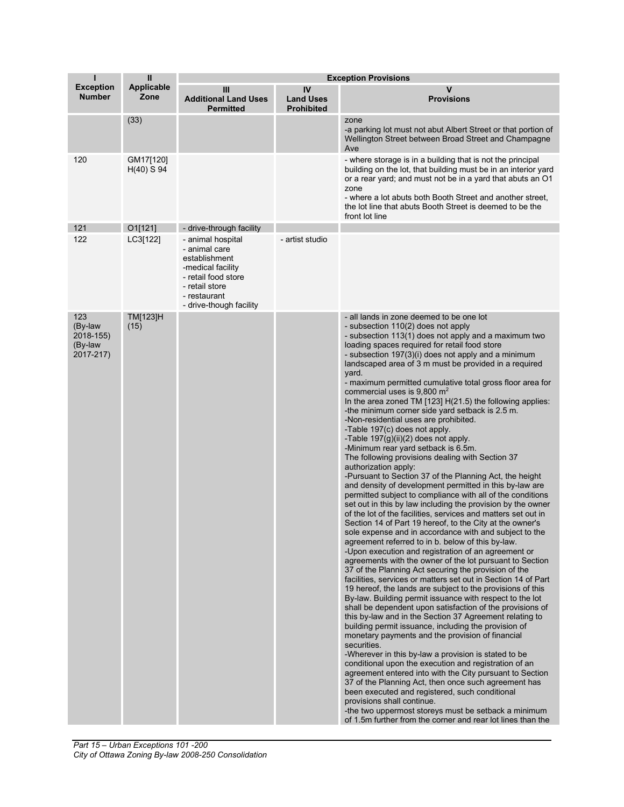| T                                                   | $\mathbf{I}$              |                                                                                                                                                              |                                             | <b>Exception Provisions</b>                                                                                                                                                                                                                                                                                                                                                                                                                                                                                                                                                                                                                                                                                                                                                                                                                                                                                                                                                                                                                                                                                                                                                                                                                                                                                                                                                                                                                                                                                                                                                                                                                                                                                                                                                                                                                                                                                                                                                                                                                                                                                                                                                                                                                                                                                                                        |
|-----------------------------------------------------|---------------------------|--------------------------------------------------------------------------------------------------------------------------------------------------------------|---------------------------------------------|----------------------------------------------------------------------------------------------------------------------------------------------------------------------------------------------------------------------------------------------------------------------------------------------------------------------------------------------------------------------------------------------------------------------------------------------------------------------------------------------------------------------------------------------------------------------------------------------------------------------------------------------------------------------------------------------------------------------------------------------------------------------------------------------------------------------------------------------------------------------------------------------------------------------------------------------------------------------------------------------------------------------------------------------------------------------------------------------------------------------------------------------------------------------------------------------------------------------------------------------------------------------------------------------------------------------------------------------------------------------------------------------------------------------------------------------------------------------------------------------------------------------------------------------------------------------------------------------------------------------------------------------------------------------------------------------------------------------------------------------------------------------------------------------------------------------------------------------------------------------------------------------------------------------------------------------------------------------------------------------------------------------------------------------------------------------------------------------------------------------------------------------------------------------------------------------------------------------------------------------------------------------------------------------------------------------------------------------------|
| <b>Exception</b><br><b>Number</b>                   | <b>Applicable</b><br>Zone | Ш<br><b>Additional Land Uses</b><br><b>Permitted</b>                                                                                                         | IV<br><b>Land Uses</b><br><b>Prohibited</b> | v<br><b>Provisions</b>                                                                                                                                                                                                                                                                                                                                                                                                                                                                                                                                                                                                                                                                                                                                                                                                                                                                                                                                                                                                                                                                                                                                                                                                                                                                                                                                                                                                                                                                                                                                                                                                                                                                                                                                                                                                                                                                                                                                                                                                                                                                                                                                                                                                                                                                                                                             |
|                                                     | (33)                      |                                                                                                                                                              |                                             | zone<br>-a parking lot must not abut Albert Street or that portion of<br>Wellington Street between Broad Street and Champagne<br>Ave                                                                                                                                                                                                                                                                                                                                                                                                                                                                                                                                                                                                                                                                                                                                                                                                                                                                                                                                                                                                                                                                                                                                                                                                                                                                                                                                                                                                                                                                                                                                                                                                                                                                                                                                                                                                                                                                                                                                                                                                                                                                                                                                                                                                               |
| 120                                                 | GM17[120]<br>$H(40)$ S 94 |                                                                                                                                                              |                                             | - where storage is in a building that is not the principal<br>building on the lot, that building must be in an interior yard<br>or a rear yard; and must not be in a yard that abuts an O1<br>zone<br>- where a lot abuts both Booth Street and another street,<br>the lot line that abuts Booth Street is deemed to be the<br>front lot line                                                                                                                                                                                                                                                                                                                                                                                                                                                                                                                                                                                                                                                                                                                                                                                                                                                                                                                                                                                                                                                                                                                                                                                                                                                                                                                                                                                                                                                                                                                                                                                                                                                                                                                                                                                                                                                                                                                                                                                                      |
| 121                                                 | 01[121]                   | - drive-through facility                                                                                                                                     |                                             |                                                                                                                                                                                                                                                                                                                                                                                                                                                                                                                                                                                                                                                                                                                                                                                                                                                                                                                                                                                                                                                                                                                                                                                                                                                                                                                                                                                                                                                                                                                                                                                                                                                                                                                                                                                                                                                                                                                                                                                                                                                                                                                                                                                                                                                                                                                                                    |
| 122                                                 | LC3[122]                  | - animal hospital<br>- animal care<br>establishment<br>-medical facility<br>- retail food store<br>- retail store<br>- restaurant<br>- drive-though facility | - artist studio                             |                                                                                                                                                                                                                                                                                                                                                                                                                                                                                                                                                                                                                                                                                                                                                                                                                                                                                                                                                                                                                                                                                                                                                                                                                                                                                                                                                                                                                                                                                                                                                                                                                                                                                                                                                                                                                                                                                                                                                                                                                                                                                                                                                                                                                                                                                                                                                    |
| 123<br>(By-law<br>2018-155)<br>(By-law<br>2017-217) | TM[123]H<br>(15)          |                                                                                                                                                              |                                             | - all lands in zone deemed to be one lot<br>- subsection 110(2) does not apply<br>- subsection 113(1) does not apply and a maximum two<br>loading spaces required for retail food store<br>- subsection 197(3)(i) does not apply and a minimum<br>landscaped area of 3 m must be provided in a required<br>yard.<br>- maximum permitted cumulative total gross floor area for<br>commercial uses is $9,800 \text{ m}^2$<br>In the area zoned TM [123] H(21.5) the following applies:<br>-the minimum corner side yard setback is 2.5 m.<br>-Non-residential uses are prohibited.<br>-Table 197(c) does not apply.<br>-Table $197(g)(ii)(2)$ does not apply.<br>-Minimum rear yard setback is 6.5m.<br>The following provisions dealing with Section 37<br>authorization apply:<br>-Pursuant to Section 37 of the Planning Act, the height<br>and density of development permitted in this by-law are<br>permitted subject to compliance with all of the conditions<br>set out in this by law including the provision by the owner<br>of the lot of the facilities, services and matters set out in<br>Section 14 of Part 19 hereof, to the City at the owner's<br>sole expense and in accordance with and subject to the<br>agreement referred to in b. below of this by-law.<br>-Upon execution and registration of an agreement or<br>agreements with the owner of the lot pursuant to Section<br>37 of the Planning Act securing the provision of the<br>facilities, services or matters set out in Section 14 of Part<br>19 hereof, the lands are subject to the provisions of this<br>By-law. Building permit issuance with respect to the lot<br>shall be dependent upon satisfaction of the provisions of<br>this by-law and in the Section 37 Agreement relating to<br>building permit issuance, including the provision of<br>monetary payments and the provision of financial<br>securities.<br>-Wherever in this by-law a provision is stated to be<br>conditional upon the execution and registration of an<br>agreement entered into with the City pursuant to Section<br>37 of the Planning Act, then once such agreement has<br>been executed and registered, such conditional<br>provisions shall continue.<br>-the two uppermost storeys must be setback a minimum<br>of 1.5m further from the corner and rear lot lines than the |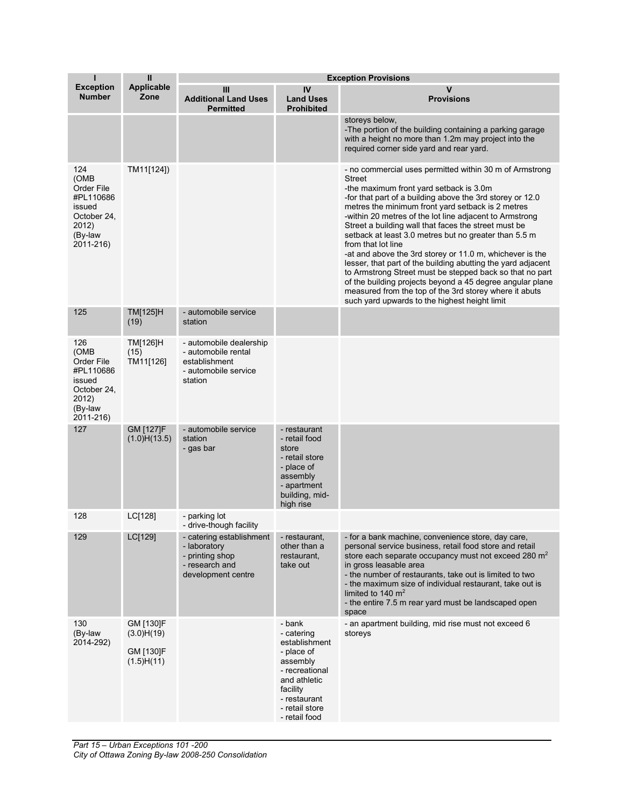| T                                                                                                | $\mathbf{I}$                                       |                                                                                                     |                                                                                                                                                                  | <b>Exception Provisions</b>                                                                                                                                                                                                                                                                                                                                                                                                                                                                                                                                                                                                                                                                                                                                                                      |
|--------------------------------------------------------------------------------------------------|----------------------------------------------------|-----------------------------------------------------------------------------------------------------|------------------------------------------------------------------------------------------------------------------------------------------------------------------|--------------------------------------------------------------------------------------------------------------------------------------------------------------------------------------------------------------------------------------------------------------------------------------------------------------------------------------------------------------------------------------------------------------------------------------------------------------------------------------------------------------------------------------------------------------------------------------------------------------------------------------------------------------------------------------------------------------------------------------------------------------------------------------------------|
| <b>Exception</b><br><b>Number</b>                                                                | <b>Applicable</b><br>Zone                          | Ш<br><b>Additional Land Uses</b><br><b>Permitted</b>                                                | IV<br><b>Land Uses</b><br><b>Prohibited</b>                                                                                                                      | v<br><b>Provisions</b>                                                                                                                                                                                                                                                                                                                                                                                                                                                                                                                                                                                                                                                                                                                                                                           |
|                                                                                                  |                                                    |                                                                                                     |                                                                                                                                                                  | storeys below,<br>-The portion of the building containing a parking garage<br>with a height no more than 1.2m may project into the<br>required corner side yard and rear yard.                                                                                                                                                                                                                                                                                                                                                                                                                                                                                                                                                                                                                   |
| 124<br>(OMB<br>Order File<br>#PL110686<br>issued<br>October 24,<br>2012)<br>(By-law<br>2011-216) | TM11[124])                                         |                                                                                                     |                                                                                                                                                                  | - no commercial uses permitted within 30 m of Armstrong<br>Street<br>-the maximum front yard setback is 3.0m<br>-for that part of a building above the 3rd storey or 12.0<br>metres the minimum front yard setback is 2 metres<br>-within 20 metres of the lot line adjacent to Armstrong<br>Street a building wall that faces the street must be<br>setback at least 3.0 metres but no greater than 5.5 m<br>from that lot line<br>-at and above the 3rd storey or 11.0 m, whichever is the<br>lesser, that part of the building abutting the yard adjacent<br>to Armstrong Street must be stepped back so that no part<br>of the building projects beyond a 45 degree angular plane<br>measured from the top of the 3rd storey where it abuts<br>such yard upwards to the highest height limit |
| 125                                                                                              | TM[125]H<br>(19)                                   | - automobile service<br>station                                                                     |                                                                                                                                                                  |                                                                                                                                                                                                                                                                                                                                                                                                                                                                                                                                                                                                                                                                                                                                                                                                  |
| 126<br>(OMB<br>Order File<br>#PL110686<br>issued<br>October 24,<br>2012)<br>(By-law<br>2011-216) | TM[126]H<br>(15)<br>TM11[126]                      | - automobile dealership<br>- automobile rental<br>establishment<br>- automobile service<br>station  |                                                                                                                                                                  |                                                                                                                                                                                                                                                                                                                                                                                                                                                                                                                                                                                                                                                                                                                                                                                                  |
| 127                                                                                              | GM [127]F<br>(1.0)H(13.5)                          | - automobile service<br>station<br>- gas bar                                                        | - restaurant<br>- retail food<br>store<br>- retail store<br>- place of<br>assembly<br>- apartment<br>building, mid-<br>high rise                                 |                                                                                                                                                                                                                                                                                                                                                                                                                                                                                                                                                                                                                                                                                                                                                                                                  |
| 128                                                                                              | LC[128]                                            | - parking lot<br>- drive-though facility                                                            |                                                                                                                                                                  |                                                                                                                                                                                                                                                                                                                                                                                                                                                                                                                                                                                                                                                                                                                                                                                                  |
| 129                                                                                              | LC[129]                                            | - catering establishment<br>- laboratory<br>- printing shop<br>- research and<br>development centre | - restaurant,<br>other than a<br>restaurant,<br>take out                                                                                                         | - for a bank machine, convenience store, day care,<br>personal service business, retail food store and retail<br>store each separate occupancy must not exceed 280 $m2$<br>in gross leasable area<br>- the number of restaurants, take out is limited to two<br>- the maximum size of individual restaurant, take out is<br>limited to 140 $m2$<br>- the entire 7.5 m rear yard must be landscaped open<br>space                                                                                                                                                                                                                                                                                                                                                                                 |
| 130<br>(By-law<br>2014-292)                                                                      | GM [130]F<br>(3.0)H(19)<br>GM [130]F<br>(1.5)H(11) |                                                                                                     | - bank<br>- catering<br>establishment<br>- place of<br>assembly<br>- recreational<br>and athletic<br>facility<br>- restaurant<br>- retail store<br>- retail food | - an apartment building, mid rise must not exceed 6<br>storeys                                                                                                                                                                                                                                                                                                                                                                                                                                                                                                                                                                                                                                                                                                                                   |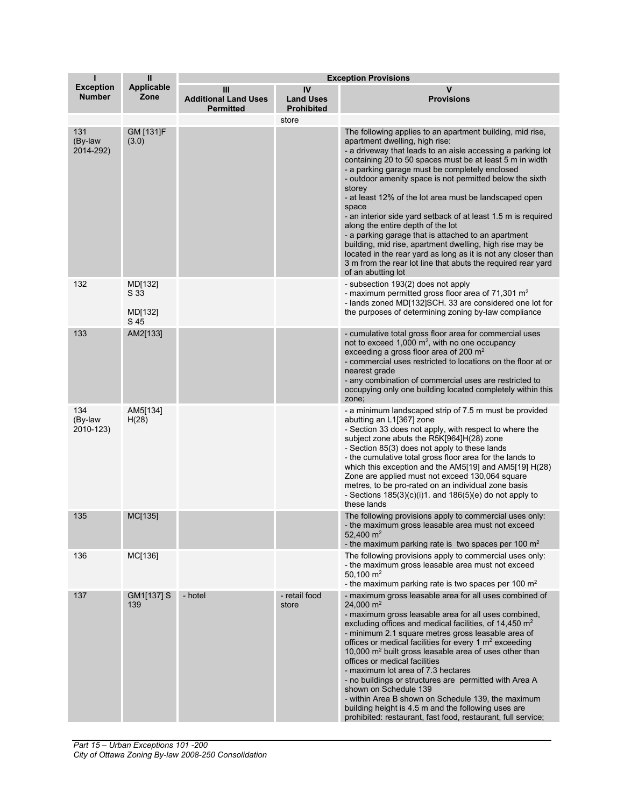| T                                 | $\mathbf{I}$               |                                                      |                                             | <b>Exception Provisions</b>                                                                                                                                                                                                                                                                                                                                                                                                                                                                                                                                                                                                                                                                                                                                                                       |
|-----------------------------------|----------------------------|------------------------------------------------------|---------------------------------------------|---------------------------------------------------------------------------------------------------------------------------------------------------------------------------------------------------------------------------------------------------------------------------------------------------------------------------------------------------------------------------------------------------------------------------------------------------------------------------------------------------------------------------------------------------------------------------------------------------------------------------------------------------------------------------------------------------------------------------------------------------------------------------------------------------|
| <b>Exception</b><br><b>Number</b> | Applicable<br>Zone         | Ш<br><b>Additional Land Uses</b><br><b>Permitted</b> | IV<br><b>Land Uses</b><br><b>Prohibited</b> | v<br><b>Provisions</b>                                                                                                                                                                                                                                                                                                                                                                                                                                                                                                                                                                                                                                                                                                                                                                            |
|                                   |                            |                                                      | store                                       |                                                                                                                                                                                                                                                                                                                                                                                                                                                                                                                                                                                                                                                                                                                                                                                                   |
| 131<br>(By-law<br>2014-292)       | GM [131]F<br>(3.0)         |                                                      |                                             | The following applies to an apartment building, mid rise,<br>apartment dwelling, high rise:<br>- a driveway that leads to an aisle accessing a parking lot<br>containing 20 to 50 spaces must be at least 5 m in width<br>- a parking garage must be completely enclosed<br>- outdoor amenity space is not permitted below the sixth<br>storey<br>- at least 12% of the lot area must be landscaped open<br>space<br>- an interior side yard setback of at least 1.5 m is required<br>along the entire depth of the lot<br>- a parking garage that is attached to an apartment<br>building, mid rise, apartment dwelling, high rise may be<br>located in the rear yard as long as it is not any closer than<br>3 m from the rear lot line that abuts the required rear yard<br>of an abutting lot |
| 132                               | MD[132]<br>S 33<br>MD[132] |                                                      |                                             | - subsection 193(2) does not apply<br>- maximum permitted gross floor area of 71,301 m <sup>2</sup><br>- lands zoned MD[132]SCH. 33 are considered one lot for<br>the purposes of determining zoning by-law compliance                                                                                                                                                                                                                                                                                                                                                                                                                                                                                                                                                                            |
|                                   | S 45                       |                                                      |                                             |                                                                                                                                                                                                                                                                                                                                                                                                                                                                                                                                                                                                                                                                                                                                                                                                   |
| 133                               | AM2[133]                   |                                                      |                                             | - cumulative total gross floor area for commercial uses<br>not to exceed 1,000 m <sup>2</sup> , with no one occupancy<br>exceeding a gross floor area of 200 $m2$<br>- commercial uses restricted to locations on the floor at or<br>nearest grade<br>- any combination of commercial uses are restricted to<br>occupying only one building located completely within this<br>zone;                                                                                                                                                                                                                                                                                                                                                                                                               |
| 134<br>(By-law<br>2010-123)       | AM5[134]<br>H(28)          |                                                      |                                             | - a minimum landscaped strip of 7.5 m must be provided<br>abutting an L1[367] zone<br>- Section 33 does not apply, with respect to where the<br>subject zone abuts the R5K[964]H(28) zone<br>- Section 85(3) does not apply to these lands<br>- the cumulative total gross floor area for the lands to<br>which this exception and the AM5[19] and AM5[19] H(28)<br>Zone are applied must not exceed 130,064 square<br>metres, to be pro-rated on an individual zone basis<br>- Sections $185(3)(c)(i)1$ . and $186(5)(e)$ do not apply to<br>these lands                                                                                                                                                                                                                                         |
| 135                               | MC[135]                    |                                                      |                                             | The following provisions apply to commercial uses only:<br>- the maximum gross leasable area must not exceed<br>52,400 $m2$<br>- the maximum parking rate is two spaces per 100 $m2$                                                                                                                                                                                                                                                                                                                                                                                                                                                                                                                                                                                                              |
| 136                               | MC[136]                    |                                                      |                                             | The following provisions apply to commercial uses only:<br>- the maximum gross leasable area must not exceed<br>50,100 $m2$<br>- the maximum parking rate is two spaces per 100 $m2$                                                                                                                                                                                                                                                                                                                                                                                                                                                                                                                                                                                                              |
| 137                               | GM1[137] S<br>139          | - hotel                                              | - retail food<br>store                      | - maximum gross leasable area for all uses combined of<br>24,000 $m2$<br>- maximum gross leasable area for all uses combined,<br>excluding offices and medical facilities, of 14,450 m <sup>2</sup><br>- minimum 2.1 square metres gross leasable area of<br>offices or medical facilities for every 1 $m2$ exceeding<br>10,000 m <sup>2</sup> built gross leasable area of uses other than<br>offices or medical facilities<br>- maximum lot area of 7.3 hectares<br>- no buildings or structures are permitted with Area A<br>shown on Schedule 139<br>- within Area B shown on Schedule 139, the maximum<br>building height is 4.5 m and the following uses are<br>prohibited: restaurant, fast food, restaurant, full service;                                                                |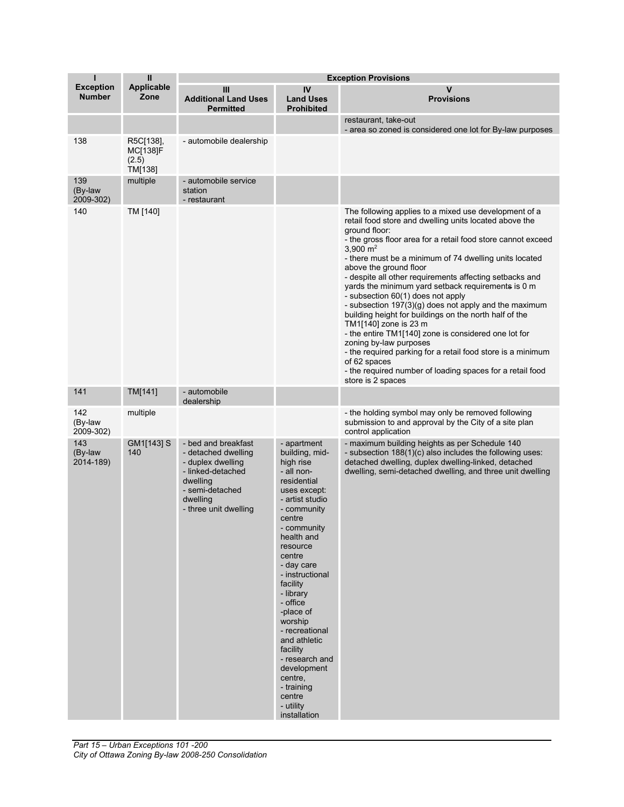| T                                 | $\mathbf{I}$                              | <b>Exception Provisions</b>                                                                                                                              |                                                                                                                                                                                                                                                                                                                                                                                                                                     |                                                                                                                                                                                                                                                                                                                                                                                                                                                                                                                                                                                                                                                                                                                                                                                                                                                                    |
|-----------------------------------|-------------------------------------------|----------------------------------------------------------------------------------------------------------------------------------------------------------|-------------------------------------------------------------------------------------------------------------------------------------------------------------------------------------------------------------------------------------------------------------------------------------------------------------------------------------------------------------------------------------------------------------------------------------|--------------------------------------------------------------------------------------------------------------------------------------------------------------------------------------------------------------------------------------------------------------------------------------------------------------------------------------------------------------------------------------------------------------------------------------------------------------------------------------------------------------------------------------------------------------------------------------------------------------------------------------------------------------------------------------------------------------------------------------------------------------------------------------------------------------------------------------------------------------------|
| <b>Exception</b><br><b>Number</b> | <b>Applicable</b><br>Zone                 | Ш<br><b>Additional Land Uses</b><br><b>Permitted</b>                                                                                                     | IV<br><b>Land Uses</b><br><b>Prohibited</b>                                                                                                                                                                                                                                                                                                                                                                                         | v<br><b>Provisions</b>                                                                                                                                                                                                                                                                                                                                                                                                                                                                                                                                                                                                                                                                                                                                                                                                                                             |
|                                   |                                           |                                                                                                                                                          |                                                                                                                                                                                                                                                                                                                                                                                                                                     | restaurant, take-out<br>- area so zoned is considered one lot for By-law purposes                                                                                                                                                                                                                                                                                                                                                                                                                                                                                                                                                                                                                                                                                                                                                                                  |
| 138                               | R5C[138],<br>MC[138]F<br>(2.5)<br>TM[138] | - automobile dealership                                                                                                                                  |                                                                                                                                                                                                                                                                                                                                                                                                                                     |                                                                                                                                                                                                                                                                                                                                                                                                                                                                                                                                                                                                                                                                                                                                                                                                                                                                    |
| 139<br>(By-law<br>2009-302)       | multiple                                  | - automobile service<br>station<br>- restaurant                                                                                                          |                                                                                                                                                                                                                                                                                                                                                                                                                                     |                                                                                                                                                                                                                                                                                                                                                                                                                                                                                                                                                                                                                                                                                                                                                                                                                                                                    |
| 140                               | TM [140]                                  |                                                                                                                                                          |                                                                                                                                                                                                                                                                                                                                                                                                                                     | The following applies to a mixed use development of a<br>retail food store and dwelling units located above the<br>ground floor:<br>- the gross floor area for a retail food store cannot exceed<br>$3,900 \; \text{m}^2$<br>- there must be a minimum of 74 dwelling units located<br>above the ground floor<br>- despite all other requirements affecting setbacks and<br>yards the minimum yard setback requirements is 0 m<br>- subsection 60(1) does not apply<br>- subsection 197(3)(g) does not apply and the maximum<br>building height for buildings on the north half of the<br>TM1[140] zone is 23 m<br>- the entire TM1[140] zone is considered one lot for<br>zoning by-law purposes<br>- the required parking for a retail food store is a minimum<br>of 62 spaces<br>- the required number of loading spaces for a retail food<br>store is 2 spaces |
| 141                               | TM[141]                                   | - automobile<br>dealership                                                                                                                               |                                                                                                                                                                                                                                                                                                                                                                                                                                     |                                                                                                                                                                                                                                                                                                                                                                                                                                                                                                                                                                                                                                                                                                                                                                                                                                                                    |
| 142<br>(By-law<br>2009-302)       | multiple                                  |                                                                                                                                                          |                                                                                                                                                                                                                                                                                                                                                                                                                                     | - the holding symbol may only be removed following<br>submission to and approval by the City of a site plan<br>control application                                                                                                                                                                                                                                                                                                                                                                                                                                                                                                                                                                                                                                                                                                                                 |
| 143<br>(By-law<br>2014-189)       | GM1[143] S<br>140                         | - bed and breakfast<br>- detached dwelling<br>- duplex dwelling<br>- linked-detached<br>dwelling<br>- semi-detached<br>dwelling<br>- three unit dwelling | - apartment<br>building, mid-<br>high rise<br>- all non-<br>residential<br>uses except:<br>- artist studio<br>- community<br>centre<br>- community<br>health and<br>resource<br>centre<br>- day care<br>- instructional<br>facility<br>- library<br>- office<br>-place of<br>worship<br>- recreational<br>and athletic<br>facility<br>- research and<br>development<br>centre,<br>- training<br>centre<br>- utility<br>installation | - maximum building heights as per Schedule 140<br>- subsection 188(1)(c) also includes the following uses:<br>detached dwelling, duplex dwelling-linked, detached<br>dwelling, semi-detached dwelling, and three unit dwelling                                                                                                                                                                                                                                                                                                                                                                                                                                                                                                                                                                                                                                     |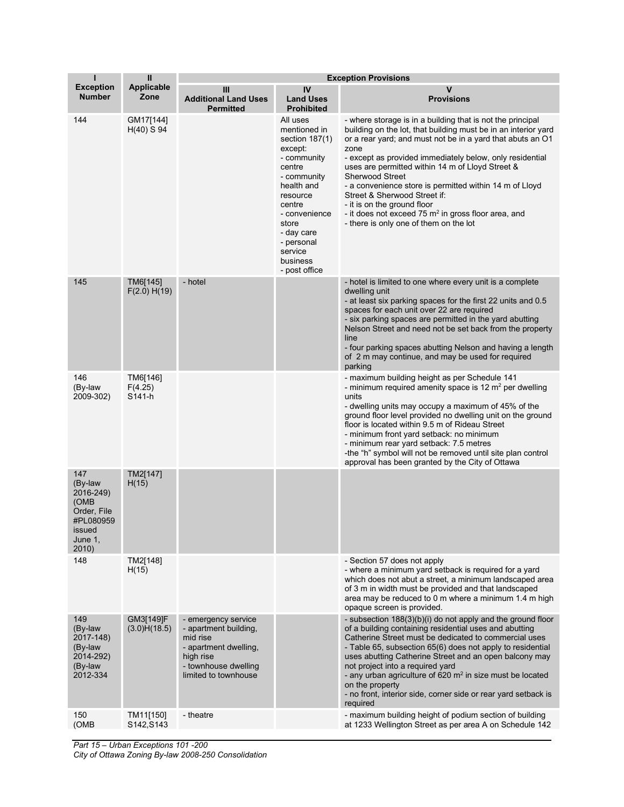| ı                                                                                             | $\mathbf{I}$                  | <b>Exception Provisions</b>                                                                                                                    |                                                                                                                                                                                                                                 |                                                                                                                                                                                                                                                                                                                                                                                                                                                                                                                                                                           |
|-----------------------------------------------------------------------------------------------|-------------------------------|------------------------------------------------------------------------------------------------------------------------------------------------|---------------------------------------------------------------------------------------------------------------------------------------------------------------------------------------------------------------------------------|---------------------------------------------------------------------------------------------------------------------------------------------------------------------------------------------------------------------------------------------------------------------------------------------------------------------------------------------------------------------------------------------------------------------------------------------------------------------------------------------------------------------------------------------------------------------------|
| <b>Exception</b><br><b>Number</b>                                                             | Applicable<br>Zone            | Ш<br><b>Additional Land Uses</b><br><b>Permitted</b>                                                                                           | IV<br><b>Land Uses</b><br><b>Prohibited</b>                                                                                                                                                                                     | v<br><b>Provisions</b>                                                                                                                                                                                                                                                                                                                                                                                                                                                                                                                                                    |
| 144                                                                                           | GM17[144]<br>$H(40)$ S 94     |                                                                                                                                                | All uses<br>mentioned in<br>section 187(1)<br>except:<br>- community<br>centre<br>- community<br>health and<br>resource<br>centre<br>- convenience<br>store<br>- day care<br>- personal<br>service<br>business<br>- post office | - where storage is in a building that is not the principal<br>building on the lot, that building must be in an interior yard<br>or a rear yard; and must not be in a yard that abuts an O1<br>zone<br>- except as provided immediately below, only residential<br>uses are permitted within 14 m of Lloyd Street &<br><b>Sherwood Street</b><br>- a convenience store is permitted within 14 m of Lloyd<br>Street & Sherwood Street if:<br>- it is on the ground floor<br>- it does not exceed 75 $m2$ in gross floor area, and<br>- there is only one of them on the lot |
| 145                                                                                           | TM6[145]<br>F(2.0) H(19)      | - hotel                                                                                                                                        |                                                                                                                                                                                                                                 | - hotel is limited to one where every unit is a complete<br>dwelling unit<br>- at least six parking spaces for the first 22 units and 0.5<br>spaces for each unit over 22 are required<br>- six parking spaces are permitted in the yard abutting<br>Nelson Street and need not be set back from the property<br>line<br>- four parking spaces abutting Nelson and having a length<br>of 2 m may continue, and may be used for required<br>parking                                                                                                                        |
| 146<br>(By-law<br>2009-302)                                                                   | TM6[146]<br>F(4.25)<br>S141-h |                                                                                                                                                |                                                                                                                                                                                                                                 | - maximum building height as per Schedule 141<br>- minimum required amenity space is 12 $m2$ per dwelling<br>units<br>- dwelling units may occupy a maximum of 45% of the<br>ground floor level provided no dwelling unit on the ground<br>floor is located within 9.5 m of Rideau Street<br>- minimum front yard setback: no minimum<br>- minimum rear yard setback: 7.5 metres<br>-the "h" symbol will not be removed until site plan control<br>approval has been granted by the City of Ottawa                                                                        |
| 147<br>(By-law<br>2016-249)<br>(OMB<br>Order, File<br>#PL080959<br>issued<br>June 1,<br>2010) | TM2[147]<br>H(15)             |                                                                                                                                                |                                                                                                                                                                                                                                 |                                                                                                                                                                                                                                                                                                                                                                                                                                                                                                                                                                           |
| 148                                                                                           | TM2[148]<br>H(15)             |                                                                                                                                                |                                                                                                                                                                                                                                 | - Section 57 does not apply<br>- where a minimum yard setback is required for a yard<br>which does not abut a street, a minimum landscaped area<br>of 3 m in width must be provided and that landscaped<br>area may be reduced to 0 m where a minimum 1.4 m high<br>opaque screen is provided.                                                                                                                                                                                                                                                                            |
| 149<br>(By-law<br>2017-148)<br>(By-law<br>2014-292)<br>(By-law<br>2012-334                    | GM3[149]F<br>(3.0)H(18.5)     | - emergency service<br>- apartment building,<br>mid rise<br>- apartment dwelling,<br>high rise<br>- townhouse dwelling<br>limited to townhouse |                                                                                                                                                                                                                                 | - subsection 188(3)(b)(i) do not apply and the ground floor<br>of a building containing residential uses and abutting<br>Catherine Street must be dedicated to commercial uses<br>- Table 65, subsection 65(6) does not apply to residential<br>uses abutting Catherine Street and an open balcony may<br>not project into a required yard<br>- any urban agriculture of $620 \text{ m}^2$ in size must be located<br>on the property<br>- no front, interior side, corner side or rear yard setback is<br>required                                                       |
| 150<br>(OMB                                                                                   | TM11[150]<br>S142, S143       | - theatre                                                                                                                                      |                                                                                                                                                                                                                                 | - maximum building height of podium section of building<br>at 1233 Wellington Street as per area A on Schedule 142                                                                                                                                                                                                                                                                                                                                                                                                                                                        |

*Part 15 – Urban Exceptions 101 -200 City of Ottawa Zoning By-law 2008-250 Consolidation*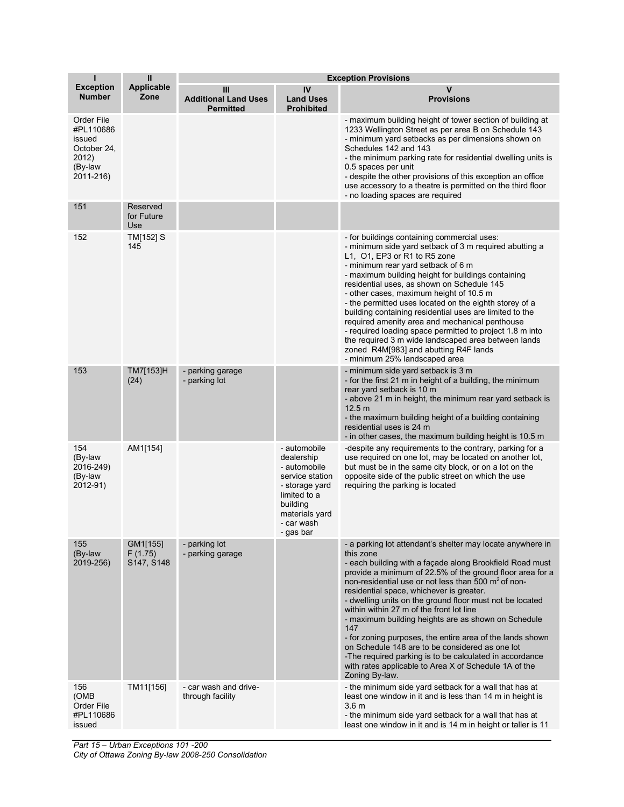| т                                                                                 | Ш                                 | <b>Exception Provisions</b>                          |                                                                                                                                                          |                                                                                                                                                                                                                                                                                                                                                                                                                                                                                                                                                                                                                                                                                                                                             |
|-----------------------------------------------------------------------------------|-----------------------------------|------------------------------------------------------|----------------------------------------------------------------------------------------------------------------------------------------------------------|---------------------------------------------------------------------------------------------------------------------------------------------------------------------------------------------------------------------------------------------------------------------------------------------------------------------------------------------------------------------------------------------------------------------------------------------------------------------------------------------------------------------------------------------------------------------------------------------------------------------------------------------------------------------------------------------------------------------------------------------|
| <b>Exception</b><br><b>Number</b>                                                 | <b>Applicable</b><br>Zone         | Ш<br><b>Additional Land Uses</b><br><b>Permitted</b> | IV<br><b>Land Uses</b><br><b>Prohibited</b>                                                                                                              | v<br><b>Provisions</b>                                                                                                                                                                                                                                                                                                                                                                                                                                                                                                                                                                                                                                                                                                                      |
| Order File<br>#PL110686<br>issued<br>October 24,<br>2012)<br>(By-law<br>2011-216) |                                   |                                                      |                                                                                                                                                          | - maximum building height of tower section of building at<br>1233 Wellington Street as per area B on Schedule 143<br>- minimum yard setbacks as per dimensions shown on<br>Schedules 142 and 143<br>- the minimum parking rate for residential dwelling units is<br>0.5 spaces per unit<br>- despite the other provisions of this exception an office<br>use accessory to a theatre is permitted on the third floor<br>- no loading spaces are required                                                                                                                                                                                                                                                                                     |
| 151                                                                               | Reserved<br>for Future<br>Use     |                                                      |                                                                                                                                                          |                                                                                                                                                                                                                                                                                                                                                                                                                                                                                                                                                                                                                                                                                                                                             |
| 152                                                                               | TM[152] S<br>145                  |                                                      |                                                                                                                                                          | - for buildings containing commercial uses:<br>- minimum side yard setback of 3 m required abutting a<br>L1, O1, EP3 or R1 to R5 zone<br>- minimum rear yard setback of 6 m<br>- maximum building height for buildings containing<br>residential uses, as shown on Schedule 145<br>- other cases, maximum height of 10.5 m<br>- the permitted uses located on the eighth storey of a<br>building containing residential uses are limited to the<br>required amenity area and mechanical penthouse<br>- required loading space permitted to project 1.8 m into<br>the required 3 m wide landscaped area between lands<br>zoned R4M[983] and abutting R4F lands<br>- minimum 25% landscaped area                                              |
| 153                                                                               | TM7[153]H<br>(24)                 | - parking garage<br>- parking lot                    |                                                                                                                                                          | - minimum side yard setback is 3 m<br>- for the first 21 m in height of a building, the minimum<br>rear yard setback is 10 m<br>- above 21 m in height, the minimum rear yard setback is<br>12.5 <sub>m</sub><br>- the maximum building height of a building containing<br>residential uses is 24 m<br>- in other cases, the maximum building height is 10.5 m                                                                                                                                                                                                                                                                                                                                                                              |
| 154<br>(By-law<br>2016-249)<br>(By-law<br>2012-91)                                | AM1[154]                          |                                                      | - automobile<br>dealership<br>- automobile<br>service station<br>- storage yard<br>limited to a<br>building<br>materials yard<br>- car wash<br>- gas bar | -despite any requirements to the contrary, parking for a<br>use required on one lot, may be located on another lot,<br>but must be in the same city block, or on a lot on the<br>opposite side of the public street on which the use<br>requiring the parking is located                                                                                                                                                                                                                                                                                                                                                                                                                                                                    |
| 155<br>(By-law<br>2019-256)                                                       | GM1[155]<br>F(1.75)<br>S147, S148 | - parking lot<br>- parking garage                    |                                                                                                                                                          | - a parking lot attendant's shelter may locate anywhere in<br>this zone<br>- each building with a façade along Brookfield Road must<br>provide a minimum of 22.5% of the ground floor area for a<br>non-residential use or not less than 500 m <sup>2</sup> of non-<br>residential space, whichever is greater.<br>- dwelling units on the ground floor must not be located<br>within within 27 m of the front lot line<br>- maximum building heights are as shown on Schedule<br>147<br>- for zoning purposes, the entire area of the lands shown<br>on Schedule 148 are to be considered as one lot<br>-The required parking is to be calculated in accordance<br>with rates applicable to Area X of Schedule 1A of the<br>Zoning By-law. |
| 156<br>(OMB<br>Order File<br>#PL110686<br>issued                                  | TM11[156]                         | - car wash and drive-<br>through facility            |                                                                                                                                                          | - the minimum side yard setback for a wall that has at<br>least one window in it and is less than 14 m in height is<br>3.6 <sub>m</sub><br>- the minimum side yard setback for a wall that has at<br>least one window in it and is 14 m in height or taller is 11                                                                                                                                                                                                                                                                                                                                                                                                                                                                           |

*Part 15 – Urban Exceptions 101 -200 City of Ottawa Zoning By-law 2008-250 Consolidation*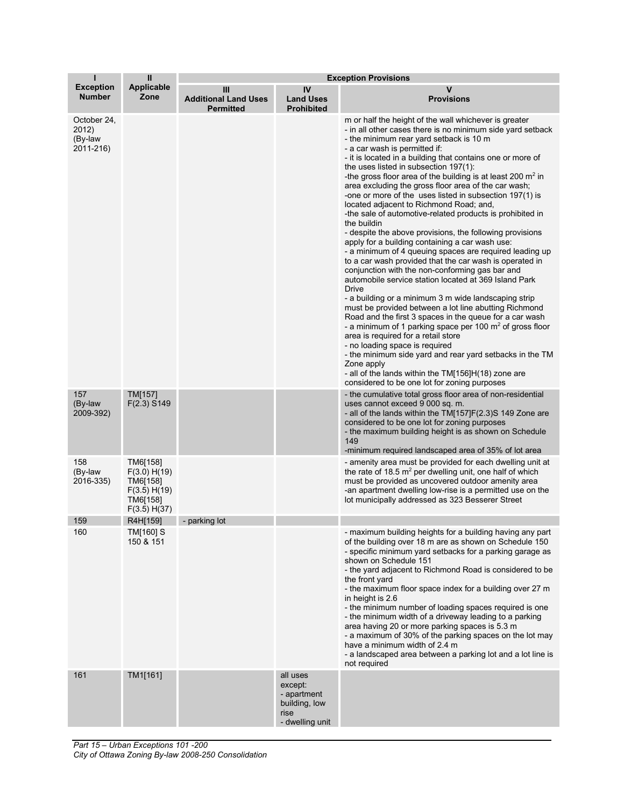| н                                            | Ш                                                                                | <b>Exception Provisions</b>                          |                                                                                |                                                                                                                                                                                                                                                                                                                                                                                                                                                                                                                                                                                                                                                                                                                                                                                                                                                                                                                                                                                                                                                                                                                                                                                                                                                                                                                                                                                                                                                                                              |
|----------------------------------------------|----------------------------------------------------------------------------------|------------------------------------------------------|--------------------------------------------------------------------------------|----------------------------------------------------------------------------------------------------------------------------------------------------------------------------------------------------------------------------------------------------------------------------------------------------------------------------------------------------------------------------------------------------------------------------------------------------------------------------------------------------------------------------------------------------------------------------------------------------------------------------------------------------------------------------------------------------------------------------------------------------------------------------------------------------------------------------------------------------------------------------------------------------------------------------------------------------------------------------------------------------------------------------------------------------------------------------------------------------------------------------------------------------------------------------------------------------------------------------------------------------------------------------------------------------------------------------------------------------------------------------------------------------------------------------------------------------------------------------------------------|
| <b>Exception</b><br><b>Number</b>            | <b>Applicable</b><br>Zone                                                        | Ш<br><b>Additional Land Uses</b><br><b>Permitted</b> | IV<br><b>Land Uses</b><br><b>Prohibited</b>                                    | v<br><b>Provisions</b>                                                                                                                                                                                                                                                                                                                                                                                                                                                                                                                                                                                                                                                                                                                                                                                                                                                                                                                                                                                                                                                                                                                                                                                                                                                                                                                                                                                                                                                                       |
| October 24,<br>2012)<br>(By-law<br>2011-216) |                                                                                  |                                                      |                                                                                | m or half the height of the wall whichever is greater<br>- in all other cases there is no minimum side yard setback<br>- the minimum rear yard setback is 10 m<br>- a car wash is permitted if:<br>- it is located in a building that contains one or more of<br>the uses listed in subsection $197(1)$ :<br>-the gross floor area of the building is at least 200 $m2$ in<br>area excluding the gross floor area of the car wash;<br>-one or more of the uses listed in subsection 197(1) is<br>located adjacent to Richmond Road; and,<br>-the sale of automotive-related products is prohibited in<br>the buildin<br>- despite the above provisions, the following provisions<br>apply for a building containing a car wash use:<br>- a minimum of 4 queuing spaces are required leading up<br>to a car wash provided that the car wash is operated in<br>conjunction with the non-conforming gas bar and<br>automobile service station located at 369 Island Park<br>Drive<br>- a building or a minimum 3 m wide landscaping strip<br>must be provided between a lot line abutting Richmond<br>Road and the first 3 spaces in the queue for a car wash<br>- a minimum of 1 parking space per 100 $\mathrm{m}^2$ of gross floor<br>area is required for a retail store<br>- no loading space is required<br>- the minimum side yard and rear yard setbacks in the TM<br>Zone apply<br>- all of the lands within the TM[156]H(18) zone are<br>considered to be one lot for zoning purposes |
| 157<br>(By-law<br>2009-392)                  | TM[157]<br>F(2.3) S149                                                           |                                                      |                                                                                | - the cumulative total gross floor area of non-residential<br>uses cannot exceed 9 000 sq. m.<br>- all of the lands within the TM[157]F(2.3)S 149 Zone are<br>considered to be one lot for zoning purposes<br>- the maximum building height is as shown on Schedule<br>149<br>-minimum required landscaped area of 35% of lot area                                                                                                                                                                                                                                                                                                                                                                                                                                                                                                                                                                                                                                                                                                                                                                                                                                                                                                                                                                                                                                                                                                                                                           |
| 158<br>(By-law<br>2016-335)                  | TM6[158]<br>F(3.0) H(19)<br>TM6[158]<br>F(3.5) H(19)<br>TM6[158]<br>F(3.5) H(37) |                                                      |                                                                                | - amenity area must be provided for each dwelling unit at<br>the rate of 18.5 $m^2$ per dwelling unit, one half of which<br>must be provided as uncovered outdoor amenity area<br>-an apartment dwelling low-rise is a permitted use on the<br>lot municipally addressed as 323 Besserer Street                                                                                                                                                                                                                                                                                                                                                                                                                                                                                                                                                                                                                                                                                                                                                                                                                                                                                                                                                                                                                                                                                                                                                                                              |
| 159                                          | R4H[159]                                                                         | - parking lot                                        |                                                                                |                                                                                                                                                                                                                                                                                                                                                                                                                                                                                                                                                                                                                                                                                                                                                                                                                                                                                                                                                                                                                                                                                                                                                                                                                                                                                                                                                                                                                                                                                              |
| 160                                          | TM[160] S<br>150 & 151                                                           |                                                      |                                                                                | - maximum building neights for a building naving any part<br>of the building over 18 m are as shown on Schedule 150<br>- specific minimum yard setbacks for a parking garage as<br>shown on Schedule 151<br>- the yard adjacent to Richmond Road is considered to be<br>the front yard<br>- the maximum floor space index for a building over 27 m<br>in height is 2.6<br>- the minimum number of loading spaces required is one<br>- the minimum width of a driveway leading to a parking<br>area having 20 or more parking spaces is 5.3 m<br>- a maximum of 30% of the parking spaces on the lot may<br>have a minimum width of 2.4 m<br>- a landscaped area between a parking lot and a lot line is<br>not required                                                                                                                                                                                                                                                                                                                                                                                                                                                                                                                                                                                                                                                                                                                                                                      |
| 161                                          | TM1[161]                                                                         |                                                      | all uses<br>except:<br>- apartment<br>building, low<br>rise<br>- dwelling unit |                                                                                                                                                                                                                                                                                                                                                                                                                                                                                                                                                                                                                                                                                                                                                                                                                                                                                                                                                                                                                                                                                                                                                                                                                                                                                                                                                                                                                                                                                              |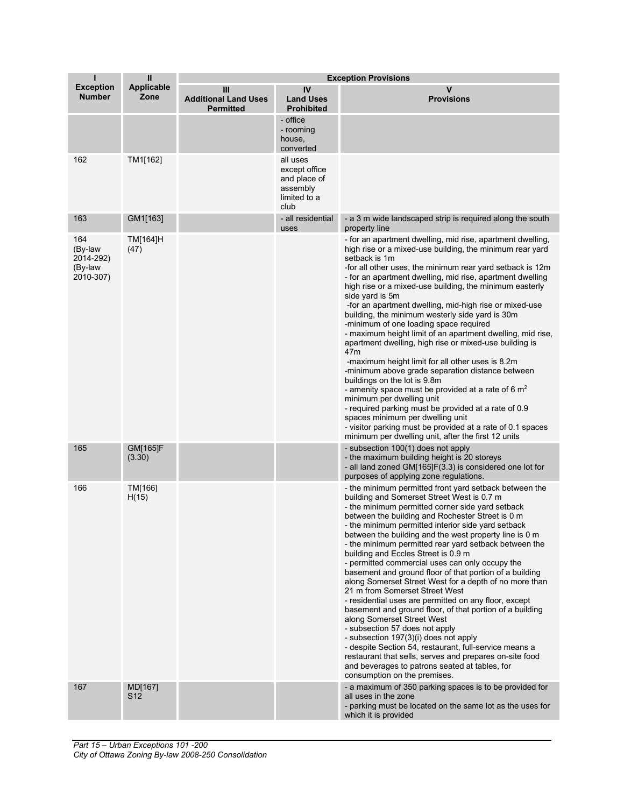| т                                                   | $\mathbf{I}$              | <b>Exception Provisions</b>                          |                                                                               |                                                                                                                                                                                                                                                                                                                                                                                                                                                                                                                                                                                                                                                                                                                                                                                                                                                                                                                                                                                                                                                                                                 |
|-----------------------------------------------------|---------------------------|------------------------------------------------------|-------------------------------------------------------------------------------|-------------------------------------------------------------------------------------------------------------------------------------------------------------------------------------------------------------------------------------------------------------------------------------------------------------------------------------------------------------------------------------------------------------------------------------------------------------------------------------------------------------------------------------------------------------------------------------------------------------------------------------------------------------------------------------------------------------------------------------------------------------------------------------------------------------------------------------------------------------------------------------------------------------------------------------------------------------------------------------------------------------------------------------------------------------------------------------------------|
| <b>Exception</b><br><b>Number</b>                   | <b>Applicable</b><br>Zone | Ш<br><b>Additional Land Uses</b><br><b>Permitted</b> | IV<br><b>Land Uses</b><br><b>Prohibited</b>                                   | v<br><b>Provisions</b>                                                                                                                                                                                                                                                                                                                                                                                                                                                                                                                                                                                                                                                                                                                                                                                                                                                                                                                                                                                                                                                                          |
|                                                     |                           |                                                      | - office<br>- rooming<br>house,<br>converted                                  |                                                                                                                                                                                                                                                                                                                                                                                                                                                                                                                                                                                                                                                                                                                                                                                                                                                                                                                                                                                                                                                                                                 |
| 162                                                 | TM1[162]                  |                                                      | all uses<br>except office<br>and place of<br>assembly<br>limited to a<br>club |                                                                                                                                                                                                                                                                                                                                                                                                                                                                                                                                                                                                                                                                                                                                                                                                                                                                                                                                                                                                                                                                                                 |
| 163                                                 | GM1[163]                  |                                                      | - all residential<br>uses                                                     | - a 3 m wide landscaped strip is required along the south<br>property line                                                                                                                                                                                                                                                                                                                                                                                                                                                                                                                                                                                                                                                                                                                                                                                                                                                                                                                                                                                                                      |
| 164<br>(By-law<br>2014-292)<br>(By-law<br>2010-307) | TM[164]H<br>(47)          |                                                      |                                                                               | - for an apartment dwelling, mid rise, apartment dwelling,<br>high rise or a mixed-use building, the minimum rear yard<br>setback is 1m<br>-for all other uses, the minimum rear yard setback is 12m<br>- for an apartment dwelling, mid rise, apartment dwelling<br>high rise or a mixed-use building, the minimum easterly<br>side yard is 5m<br>-for an apartment dwelling, mid-high rise or mixed-use<br>building, the minimum westerly side yard is 30m<br>-minimum of one loading space required<br>- maximum height limit of an apartment dwelling, mid rise,<br>apartment dwelling, high rise or mixed-use building is<br>47 <sub>m</sub><br>-maximum height limit for all other uses is 8.2m<br>-minimum above grade separation distance between<br>buildings on the lot is 9.8m<br>- amenity space must be provided at a rate of 6 $m2$<br>minimum per dwelling unit<br>- required parking must be provided at a rate of 0.9<br>spaces minimum per dwelling unit<br>- visitor parking must be provided at a rate of 0.1 spaces<br>minimum per dwelling unit, after the first 12 units |
| 165                                                 | GM[165]F<br>(3.30)        |                                                      |                                                                               | - subsection 100(1) does not apply<br>- the maximum building height is 20 storeys<br>- all land zoned GM[165]F(3.3) is considered one lot for<br>purposes of applying zone regulations.                                                                                                                                                                                                                                                                                                                                                                                                                                                                                                                                                                                                                                                                                                                                                                                                                                                                                                         |
| 166                                                 | TM[166]<br>H(15)          |                                                      |                                                                               | - the minimum permitted front yard setback between the<br>building and Somerset Street West is 0.7 m<br>- the minimum permitted corner side yard setback<br>between the building and Rochester Street is 0 m<br>- the minimum permitted interior side yard setback<br>between the building and the west property line is 0 m<br>- the minimum permitted rear yard setback between the<br>building and Eccles Street is 0.9 m<br>- permitted commercial uses can only occupy the<br>basement and ground floor of that portion of a building<br>along Somerset Street West for a depth of no more than<br>21 m from Somerset Street West<br>- residential uses are permitted on any floor, except<br>basement and ground floor, of that portion of a building<br>along Somerset Street West<br>- subsection 57 does not apply<br>- subsection 197(3)(i) does not apply<br>- despite Section 54, restaurant, full-service means a<br>restaurant that sells, serves and prepares on-site food<br>and beverages to patrons seated at tables, for<br>consumption on the premises.                     |
| 167                                                 | MD[167]<br>S12            |                                                      |                                                                               | - a maximum of 350 parking spaces is to be provided for<br>all uses in the zone<br>- parking must be located on the same lot as the uses for<br>which it is provided                                                                                                                                                                                                                                                                                                                                                                                                                                                                                                                                                                                                                                                                                                                                                                                                                                                                                                                            |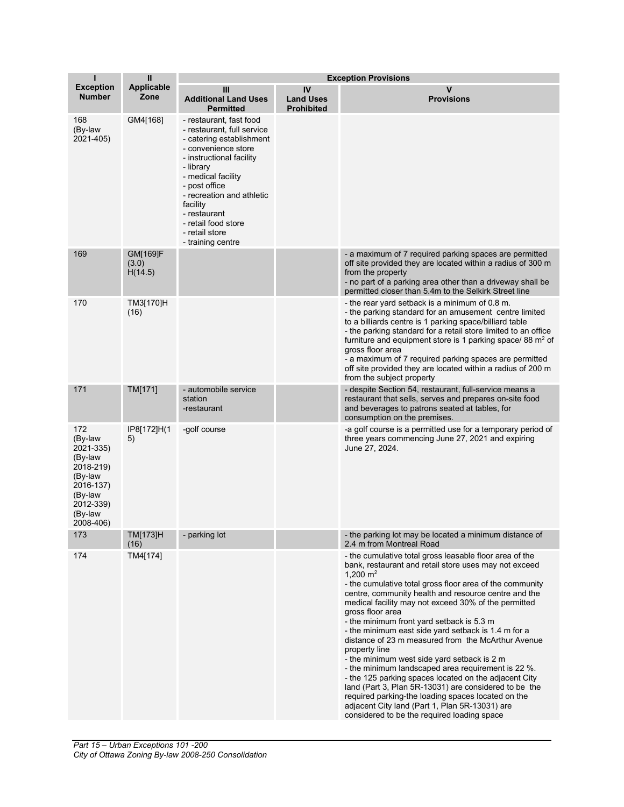| Т                                                                                                                           | $\mathbf{I}$                        | <b>Exception Provisions</b>                                                                                                                                                                                                                                                                                     |                                             |                                                                                                                                                                                                                                                                                                                                                                                                                                                                                                                                                                                                                                                                                                                                                                                                                                                                                         |
|-----------------------------------------------------------------------------------------------------------------------------|-------------------------------------|-----------------------------------------------------------------------------------------------------------------------------------------------------------------------------------------------------------------------------------------------------------------------------------------------------------------|---------------------------------------------|-----------------------------------------------------------------------------------------------------------------------------------------------------------------------------------------------------------------------------------------------------------------------------------------------------------------------------------------------------------------------------------------------------------------------------------------------------------------------------------------------------------------------------------------------------------------------------------------------------------------------------------------------------------------------------------------------------------------------------------------------------------------------------------------------------------------------------------------------------------------------------------------|
| <b>Exception</b><br>Number                                                                                                  | <b>Applicable</b><br>Zone           | Ш<br><b>Additional Land Uses</b><br><b>Permitted</b>                                                                                                                                                                                                                                                            | IV<br><b>Land Uses</b><br><b>Prohibited</b> | v<br><b>Provisions</b>                                                                                                                                                                                                                                                                                                                                                                                                                                                                                                                                                                                                                                                                                                                                                                                                                                                                  |
| 168<br>(By-law<br>2021-405)                                                                                                 | GM4[168]                            | - restaurant, fast food<br>- restaurant, full service<br>- catering establishment<br>- convenience store<br>- instructional facility<br>- library<br>- medical facility<br>- post office<br>- recreation and athletic<br>facility<br>- restaurant<br>- retail food store<br>- retail store<br>- training centre |                                             |                                                                                                                                                                                                                                                                                                                                                                                                                                                                                                                                                                                                                                                                                                                                                                                                                                                                                         |
| 169                                                                                                                         | <b>GM[169]F</b><br>(3.0)<br>H(14.5) |                                                                                                                                                                                                                                                                                                                 |                                             | - a maximum of 7 required parking spaces are permitted<br>off site provided they are located within a radius of 300 m<br>from the property<br>- no part of a parking area other than a driveway shall be<br>permitted closer than 5.4m to the Selkirk Street line                                                                                                                                                                                                                                                                                                                                                                                                                                                                                                                                                                                                                       |
| 170                                                                                                                         | TM3[170]H<br>(16)                   |                                                                                                                                                                                                                                                                                                                 |                                             | - the rear yard setback is a minimum of 0.8 m.<br>- the parking standard for an amusement centre limited<br>to a billiards centre is 1 parking space/billiard table<br>- the parking standard for a retail store limited to an office<br>furniture and equipment store is 1 parking space/ 88 m <sup>2</sup> of<br>gross floor area<br>- a maximum of 7 required parking spaces are permitted<br>off site provided they are located within a radius of 200 m<br>from the subject property                                                                                                                                                                                                                                                                                                                                                                                               |
| 171                                                                                                                         | TM[171]                             | - automobile service<br>station<br>-restaurant                                                                                                                                                                                                                                                                  |                                             | - despite Section 54, restaurant, full-service means a<br>restaurant that sells, serves and prepares on-site food<br>and beverages to patrons seated at tables, for<br>consumption on the premises.                                                                                                                                                                                                                                                                                                                                                                                                                                                                                                                                                                                                                                                                                     |
| 172<br>(By-law<br>2021-335)<br>(By-law<br>2018-219)<br>(By-law<br>2016-137)<br>(By-law<br>2012-339)<br>(By-law<br>2008-406) | IP8[172]H(1<br>5)                   | -golf course                                                                                                                                                                                                                                                                                                    |                                             | -a golf course is a permitted use for a temporary period of<br>three years commencing June 27, 2021 and expiring<br>June 27, 2024.                                                                                                                                                                                                                                                                                                                                                                                                                                                                                                                                                                                                                                                                                                                                                      |
| 173                                                                                                                         | TM[173]H<br>(16)                    | - parking lot                                                                                                                                                                                                                                                                                                   |                                             | - the parking lot may be located a minimum distance of<br>2.4 m from Montreal Road                                                                                                                                                                                                                                                                                                                                                                                                                                                                                                                                                                                                                                                                                                                                                                                                      |
| 174                                                                                                                         | TM4[174]                            |                                                                                                                                                                                                                                                                                                                 |                                             | - the cumulative total gross leasable floor area of the<br>bank, restaurant and retail store uses may not exceed<br>1,200 $m2$<br>- the cumulative total gross floor area of the community<br>centre, community health and resource centre and the<br>medical facility may not exceed 30% of the permitted<br>gross floor area<br>- the minimum front yard setback is 5.3 m<br>- the minimum east side yard setback is 1.4 m for a<br>distance of 23 m measured from the McArthur Avenue<br>property line<br>- the minimum west side yard setback is 2 m<br>- the minimum landscaped area requirement is 22 %.<br>- the 125 parking spaces located on the adjacent City<br>land (Part 3, Plan 5R-13031) are considered to be the<br>required parking-the loading spaces located on the<br>adjacent City land (Part 1, Plan 5R-13031) are<br>considered to be the required loading space |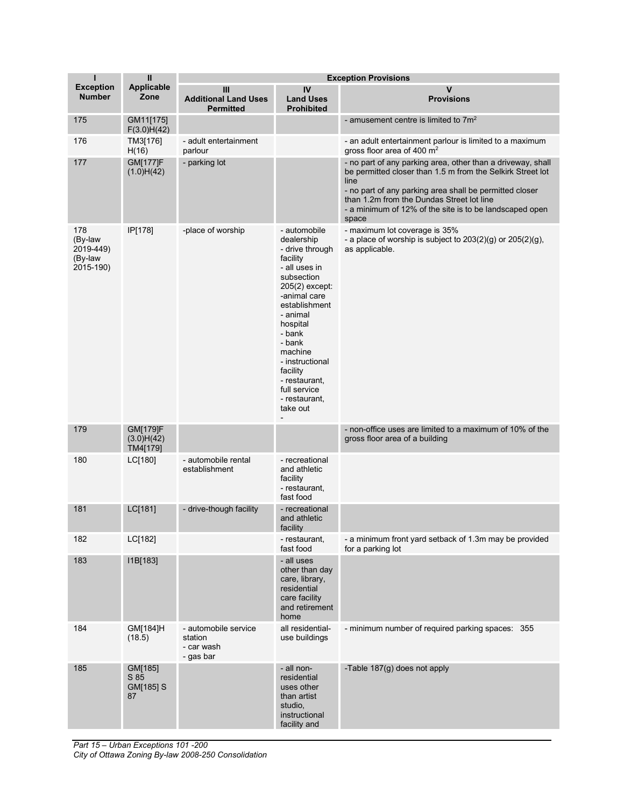| $\mathbf{I}$                                        | $\mathbf{I}$                       | <b>Exception Provisions</b>                                |                                                                                                                                                                                                                                                                                                 |                                                                                                                                                                                                                                                                                                               |
|-----------------------------------------------------|------------------------------------|------------------------------------------------------------|-------------------------------------------------------------------------------------------------------------------------------------------------------------------------------------------------------------------------------------------------------------------------------------------------|---------------------------------------------------------------------------------------------------------------------------------------------------------------------------------------------------------------------------------------------------------------------------------------------------------------|
| <b>Exception</b><br><b>Number</b>                   | <b>Applicable</b><br>Zone          | Ш<br><b>Additional Land Uses</b><br><b>Permitted</b>       | IV<br><b>Land Uses</b><br><b>Prohibited</b>                                                                                                                                                                                                                                                     | v<br><b>Provisions</b>                                                                                                                                                                                                                                                                                        |
| 175                                                 | GM11[175]<br>F(3.0)H(42)           |                                                            |                                                                                                                                                                                                                                                                                                 | - amusement centre is limited to $7m^2$                                                                                                                                                                                                                                                                       |
| 176                                                 | TM3[176]<br>H(16)                  | - adult entertainment<br>parlour                           |                                                                                                                                                                                                                                                                                                 | - an adult entertainment parlour is limited to a maximum<br>gross floor area of 400 m <sup>2</sup>                                                                                                                                                                                                            |
| 177                                                 | <b>GM[177]F</b><br>(1.0)H(42)      | - parking lot                                              |                                                                                                                                                                                                                                                                                                 | - no part of any parking area, other than a driveway, shall<br>be permitted closer than 1.5 m from the Selkirk Street lot<br>line<br>- no part of any parking area shall be permitted closer<br>than 1.2m from the Dundas Street lot line<br>- a minimum of 12% of the site is to be landscaped open<br>space |
| 178<br>(By-law<br>2019-449)<br>(By-law<br>2015-190) | IP[178]                            | -place of worship                                          | - automobile<br>dealership<br>- drive through<br>facility<br>- all uses in<br>subsection<br>205(2) except:<br>-animal care<br>establishment<br>- animal<br>hospital<br>- bank<br>- bank<br>machine<br>- instructional<br>facility<br>- restaurant,<br>full service<br>- restaurant,<br>take out | - maximum lot coverage is 35%<br>- a place of worship is subject to $203(2)(g)$ or $205(2)(g)$ ,<br>as applicable.                                                                                                                                                                                            |
| 179                                                 | GM[179]F<br>(3.0)H(42)<br>TM4[179] |                                                            |                                                                                                                                                                                                                                                                                                 | - non-office uses are limited to a maximum of 10% of the<br>gross floor area of a building                                                                                                                                                                                                                    |
| 180                                                 | LC[180]                            | - automobile rental<br>establishment                       | - recreational<br>and athletic<br>facility<br>- restaurant,<br>fast food                                                                                                                                                                                                                        |                                                                                                                                                                                                                                                                                                               |
| 181                                                 | LC[181]                            | - drive-though facility                                    | - recreational<br>and athletic<br>facility                                                                                                                                                                                                                                                      |                                                                                                                                                                                                                                                                                                               |
| 182                                                 | LC[182]                            |                                                            | - restaurant,<br>fast food                                                                                                                                                                                                                                                                      | - a minimum front yard setback of 1.3m may be provided<br>for a parking lot                                                                                                                                                                                                                                   |
| 183                                                 | I1B[183]                           |                                                            | - all uses<br>other than day<br>care, library,<br>residential<br>care facility<br>and retirement<br>home                                                                                                                                                                                        |                                                                                                                                                                                                                                                                                                               |
| 184                                                 | GM[184]H<br>(18.5)                 | - automobile service<br>station<br>- car wash<br>- gas bar | all residential-<br>use buildings                                                                                                                                                                                                                                                               | - minimum number of required parking spaces: 355                                                                                                                                                                                                                                                              |
| 185                                                 | GM[185]<br>S 85<br>GM[185] S<br>87 |                                                            | - all non-<br>residential<br>uses other<br>than artist<br>studio,<br>instructional<br>facility and                                                                                                                                                                                              | -Table 187(g) does not apply                                                                                                                                                                                                                                                                                  |

*Part 15 – Urban Exceptions 101 -200 City of Ottawa Zoning By-law 2008-250 Consolidation*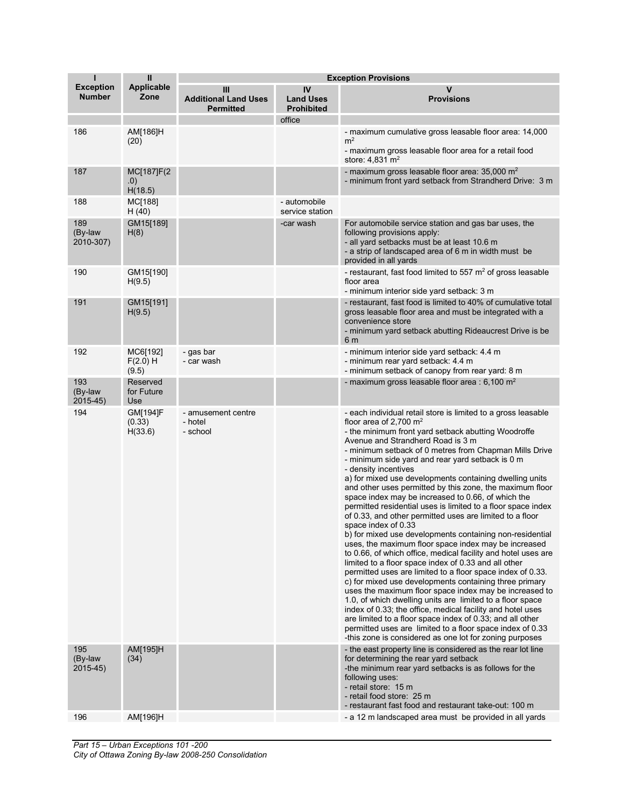| т                                 | $\mathbf{I}$                         | <b>Exception Provisions</b>                          |                                             |                                                                                                                                                                                                                                                                                                                                                                                                                                                                                                                                                                                                                                                                                                                                                                                                                                                                                                                                                                                                                                                                                                                                                                                                                                                                                                                                                                                                            |
|-----------------------------------|--------------------------------------|------------------------------------------------------|---------------------------------------------|------------------------------------------------------------------------------------------------------------------------------------------------------------------------------------------------------------------------------------------------------------------------------------------------------------------------------------------------------------------------------------------------------------------------------------------------------------------------------------------------------------------------------------------------------------------------------------------------------------------------------------------------------------------------------------------------------------------------------------------------------------------------------------------------------------------------------------------------------------------------------------------------------------------------------------------------------------------------------------------------------------------------------------------------------------------------------------------------------------------------------------------------------------------------------------------------------------------------------------------------------------------------------------------------------------------------------------------------------------------------------------------------------------|
| <b>Exception</b><br><b>Number</b> | <b>Applicable</b><br>Zone            | Ш<br><b>Additional Land Uses</b><br><b>Permitted</b> | IV<br><b>Land Uses</b><br><b>Prohibited</b> | ν<br><b>Provisions</b>                                                                                                                                                                                                                                                                                                                                                                                                                                                                                                                                                                                                                                                                                                                                                                                                                                                                                                                                                                                                                                                                                                                                                                                                                                                                                                                                                                                     |
|                                   |                                      |                                                      | office                                      |                                                                                                                                                                                                                                                                                                                                                                                                                                                                                                                                                                                                                                                                                                                                                                                                                                                                                                                                                                                                                                                                                                                                                                                                                                                                                                                                                                                                            |
| 186                               | AM[186]H<br>(20)                     |                                                      |                                             | - maximum cumulative gross leasable floor area: 14,000<br>m <sup>2</sup><br>- maximum gross leasable floor area for a retail food<br>store: $4,831 \text{ m}^2$                                                                                                                                                                                                                                                                                                                                                                                                                                                                                                                                                                                                                                                                                                                                                                                                                                                                                                                                                                                                                                                                                                                                                                                                                                            |
| 187                               | MC[187]F(2<br>.0)<br>H(18.5)         |                                                      |                                             | - maximum gross leasable floor area: $35,000 \text{ m}^2$<br>- minimum front yard setback from Strandherd Drive: 3 m                                                                                                                                                                                                                                                                                                                                                                                                                                                                                                                                                                                                                                                                                                                                                                                                                                                                                                                                                                                                                                                                                                                                                                                                                                                                                       |
| 188                               | MC[188]<br>H(40)                     |                                                      | - automobile<br>service station             |                                                                                                                                                                                                                                                                                                                                                                                                                                                                                                                                                                                                                                                                                                                                                                                                                                                                                                                                                                                                                                                                                                                                                                                                                                                                                                                                                                                                            |
| 189<br>(By-law<br>2010-307)       | GM15[189]<br>H(8)                    |                                                      | -car wash                                   | For automobile service station and gas bar uses, the<br>following provisions apply:<br>- all yard setbacks must be at least 10.6 m<br>- a strip of landscaped area of 6 m in width must be<br>provided in all yards                                                                                                                                                                                                                                                                                                                                                                                                                                                                                                                                                                                                                                                                                                                                                                                                                                                                                                                                                                                                                                                                                                                                                                                        |
| 190                               | GM15[190]<br>H(9.5)                  |                                                      |                                             | - restaurant, fast food limited to 557 $m2$ of gross leasable<br>floor area<br>- minimum interior side yard setback: 3 m                                                                                                                                                                                                                                                                                                                                                                                                                                                                                                                                                                                                                                                                                                                                                                                                                                                                                                                                                                                                                                                                                                                                                                                                                                                                                   |
| 191                               | GM15[191]<br>H(9.5)                  |                                                      |                                             | - restaurant, fast food is limited to 40% of cumulative total<br>gross leasable floor area and must be integrated with a<br>convenience store<br>- minimum yard setback abutting Rideaucrest Drive is be<br>6 m                                                                                                                                                                                                                                                                                                                                                                                                                                                                                                                                                                                                                                                                                                                                                                                                                                                                                                                                                                                                                                                                                                                                                                                            |
| 192                               | MC6[192]<br>F(2.0) H<br>(9.5)        | - gas bar<br>- car wash                              |                                             | - minimum interior side yard setback: 4.4 m<br>- minimum rear yard setback: 4.4 m<br>- minimum setback of canopy from rear yard: 8 m                                                                                                                                                                                                                                                                                                                                                                                                                                                                                                                                                                                                                                                                                                                                                                                                                                                                                                                                                                                                                                                                                                                                                                                                                                                                       |
| 193<br>(By-law<br>2015-45)        | Reserved<br>for Future<br>Use        |                                                      |                                             | - maximum gross leasable floor area : $6,100 \text{ m}^2$                                                                                                                                                                                                                                                                                                                                                                                                                                                                                                                                                                                                                                                                                                                                                                                                                                                                                                                                                                                                                                                                                                                                                                                                                                                                                                                                                  |
| 194                               | <b>GM[194]F</b><br>(0.33)<br>H(33.6) | - amusement centre<br>- hotel<br>- school            |                                             | - each individual retail store is limited to a gross leasable<br>floor area of 2,700 $m2$<br>- the minimum front yard setback abutting Woodroffe<br>Avenue and Strandherd Road is 3 m<br>- minimum setback of 0 metres from Chapman Mills Drive<br>- minimum side yard and rear yard setback is 0 m<br>- density incentives<br>a) for mixed use developments containing dwelling units<br>and other uses permitted by this zone, the maximum floor<br>space index may be increased to 0.66, of which the<br>permitted residential uses is limited to a floor space index<br>of 0.33, and other permitted uses are limited to a floor<br>space index of 0.33<br>b) for mixed use developments containing non-residential<br>uses, the maximum floor space index may be increased<br>to 0.66, of which office, medical facility and hotel uses are<br>limited to a floor space index of 0.33 and all other<br>permitted uses are limited to a floor space index of 0.33.<br>c) for mixed use developments containing three primary<br>uses the maximum floor space index may be increased to<br>1.0, of which dwelling units are limited to a floor space<br>index of 0.33; the office, medical facility and hotel uses<br>are limited to a floor space index of 0.33; and all other<br>permitted uses are limited to a floor space index of 0.33<br>-this zone is considered as one lot for zoning purposes |
| 195<br>(By-law<br>$2015-45)$      | AM[195]H<br>(34)                     |                                                      |                                             | - the east property line is considered as the rear lot line<br>for determining the rear yard setback<br>-the minimum rear yard setbacks is as follows for the<br>following uses:<br>- retail store: 15 m<br>- retail food store: 25 m<br>- restaurant fast food and restaurant take-out: 100 m                                                                                                                                                                                                                                                                                                                                                                                                                                                                                                                                                                                                                                                                                                                                                                                                                                                                                                                                                                                                                                                                                                             |
| 196                               | AM[196]H                             |                                                      |                                             | - a 12 m landscaped area must be provided in all yards                                                                                                                                                                                                                                                                                                                                                                                                                                                                                                                                                                                                                                                                                                                                                                                                                                                                                                                                                                                                                                                                                                                                                                                                                                                                                                                                                     |